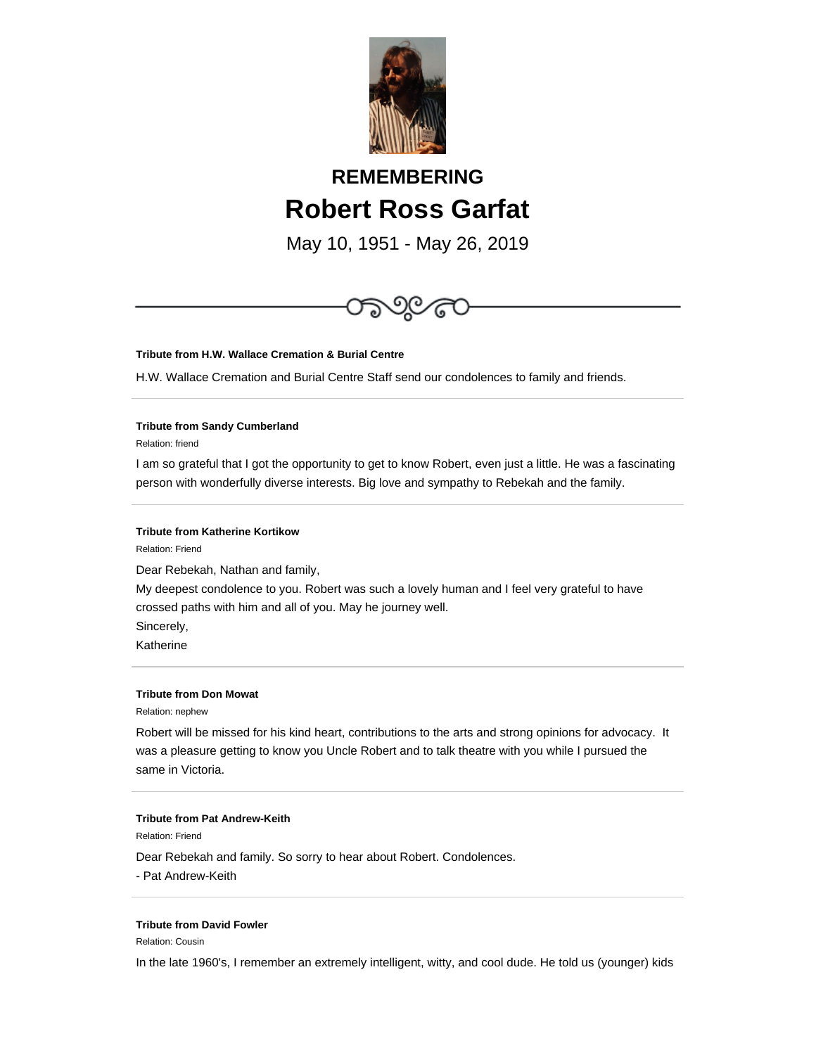

# **REMEMBERING Robert Ross Garfat**

May 10, 1951 - May 26, 2019



#### **Tribute from H.W. Wallace Cremation & Burial Centre**

H.W. Wallace Cremation and Burial Centre Staff send our condolences to family and friends.

# **Tribute from Sandy Cumberland**

Relation: friend

I am so grateful that I got the opportunity to get to know Robert, even just a little. He was a fascinating person with wonderfully diverse interests. Big love and sympathy to Rebekah and the family.

### **Tribute from Katherine Kortikow**

Relation: Friend

Dear Rebekah, Nathan and family,

My deepest condolence to you. Robert was such a lovely human and I feel very grateful to have crossed paths with him and all of you. May he journey well.

Sincerely,

Katherine

### **Tribute from Don Mowat**

Relation: nephew

Robert will be missed for his kind heart, contributions to the arts and strong opinions for advocacy. It was a pleasure getting to know you Uncle Robert and to talk theatre with you while I pursued the same in Victoria.

#### **Tribute from Pat Andrew-Keith**

Relation: Friend

Dear Rebekah and family. So sorry to hear about Robert. Condolences.

- Pat Andrew-Keith

## **Tribute from David Fowler**

Relation: Cousin

In the late 1960's, I remember an extremely intelligent, witty, and cool dude. He told us (younger) kids